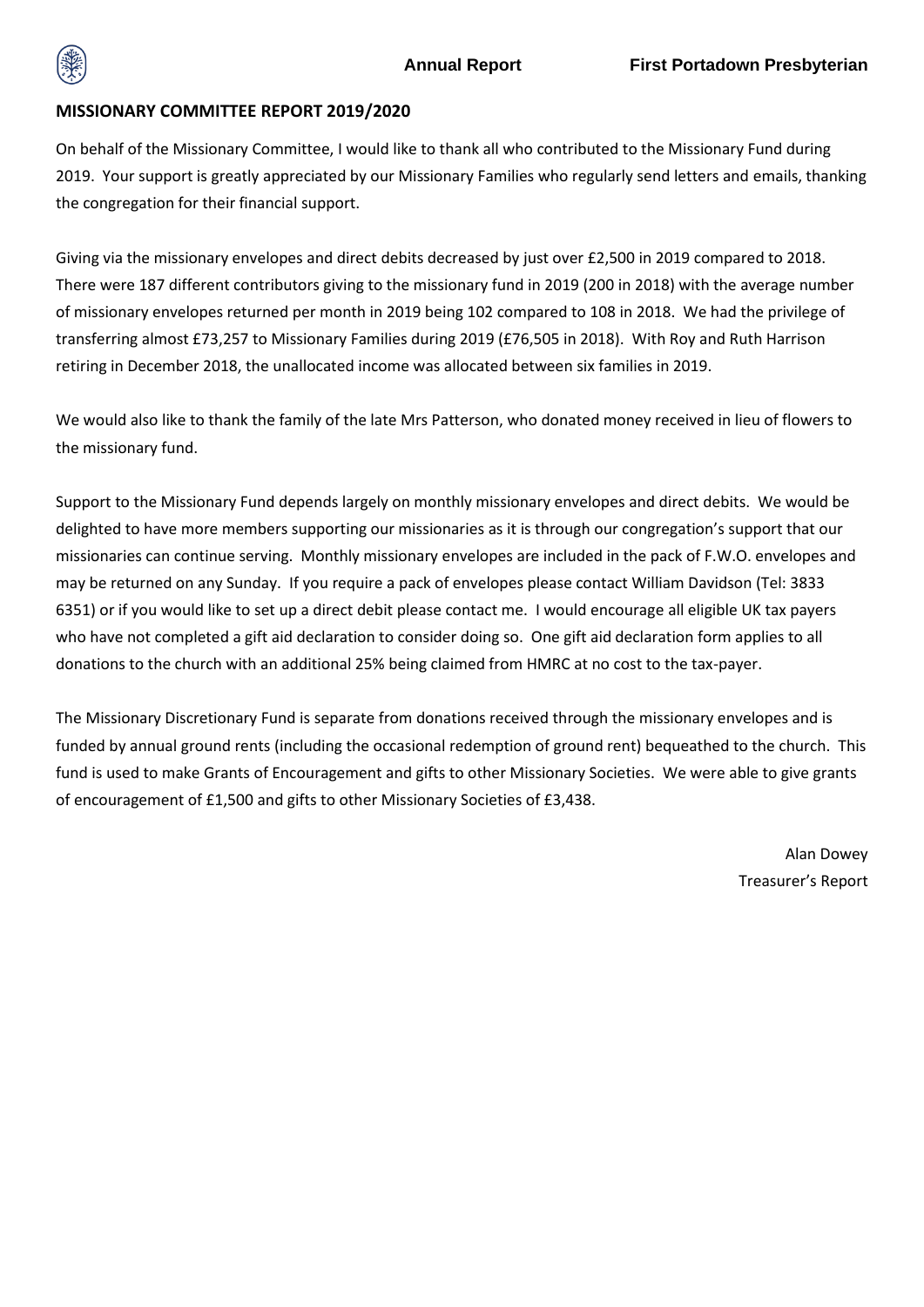

## **MISSIONARY COMMITTEE REPORT 2019/2020**

On behalf of the Missionary Committee, I would like to thank all who contributed to the Missionary Fund during 2019. Your support is greatly appreciated by our Missionary Families who regularly send letters and emails, thanking the congregation for their financial support.

Giving via the missionary envelopes and direct debits decreased by just over £2,500 in 2019 compared to 2018. There were 187 different contributors giving to the missionary fund in 2019 (200 in 2018) with the average number of missionary envelopes returned per month in 2019 being 102 compared to 108 in 2018. We had the privilege of transferring almost £73,257 to Missionary Families during 2019 (£76,505 in 2018). With Roy and Ruth Harrison retiring in December 2018, the unallocated income was allocated between six families in 2019.

We would also like to thank the family of the late Mrs Patterson, who donated money received in lieu of flowers to the missionary fund.

Support to the Missionary Fund depends largely on monthly missionary envelopes and direct debits. We would be delighted to have more members supporting our missionaries as it is through our congregation's support that our missionaries can continue serving. Monthly missionary envelopes are included in the pack of F.W.O. envelopes and may be returned on any Sunday. If you require a pack of envelopes please contact William Davidson (Tel: 3833 6351) or if you would like to set up a direct debit please contact me. I would encourage all eligible UK tax payers who have not completed a gift aid declaration to consider doing so. One gift aid declaration form applies to all donations to the church with an additional 25% being claimed from HMRC at no cost to the tax-payer.

The Missionary Discretionary Fund is separate from donations received through the missionary envelopes and is funded by annual ground rents (including the occasional redemption of ground rent) bequeathed to the church. This fund is used to make Grants of Encouragement and gifts to other Missionary Societies. We were able to give grants of encouragement of £1,500 and gifts to other Missionary Societies of £3,438.

> Alan Dowey Treasurer's Report